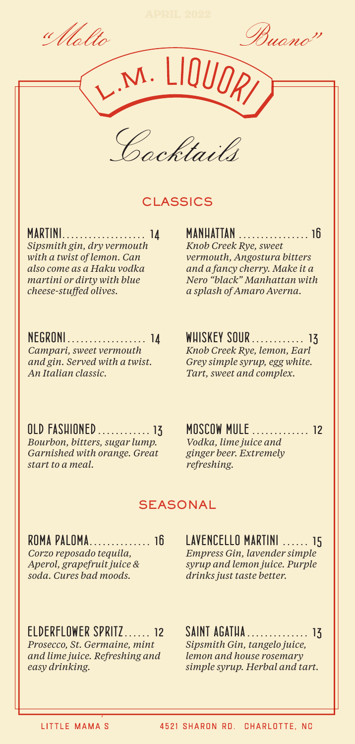" Molto

Buono<sup>n</sup>



M. LIQUO

## **CLASSICS**

*MARTINI . . . . . . . . . . . . . . . . . . . 14 Sipsmith gin, dry vermouth with a twist of lemon. Can also come as a Haku vodka* 

*martini or dirty with blue cheese-stuffed olives.*

*MANHATTAN . . . . . . . . . . . . . . . . 16 Knob Creek Rye, sweet vermouth, Angostura bitters and a fancy cherry. Make it a Nero "black" Manhattan with a splash of Amaro Averna.* 

### *NEGRONI . . . . . . . . . . . . . . . . . . 14*

*Campari, sweet vermouth and gin. Served with a twist. An Italian classic.*

*WHISKEY SOUR . . . . . . . . . . . . 13 Knob Creek Rye, lemon, Earl Grey simple syrup, egg white.* 

*Tart, sweet and complex.*

*OLD FASHIONED . . . . . . . . . . . . 13 Bourbon, bitters, sugar lump. Garnished with orange. Great start to a meal.*

*MOSCOW MULE . . . . . . . . . . . . . 12 Vodka, lime juice and ginger beer. Extremely refreshing.*

### **SEASONAL**

*ROMA PALOMA . . . . . . . . . . . . . . 16 Corzo reposado tequila, Aperol, grapefruit juice & soda. Cures bad moods.*

*LAVENCELLO MARTINI . . . . . . 15 Empress Gin, lavender simple syrup and lemon juice. Purple drinks just taste better.*

*ELDERFLOWER SPRITZ . . . . . . 12 Prosecco, St. Germaine, mint* 

*and lime juice. Refreshing and easy drinking.*

*SAINT AGATHA . . . . . . . . . . . . . . 13 Sipsmith Gin, tangelo juice, lemon and house rosemary simple syrup. Herbal and tart.*